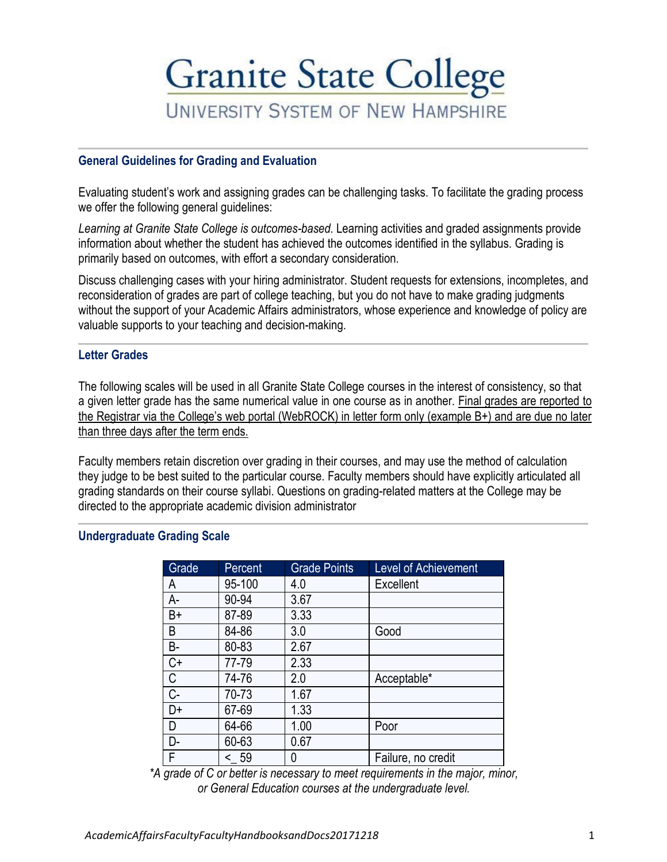# **Granite State College UNIVERSITY SYSTEM OF NEW HAMPSHIRE**

### **General Guidelines for Grading and Evaluation**

Evaluating student's work and assigning grades can be challenging tasks. To facilitate the grading process we offer the following general guidelines:

*Learning at Granite State College is outcomes-based.* Learning activities and graded assignments provide information about whether the student has achieved the outcomes identified in the syllabus. Grading is primarily based on outcomes, with effort a secondary consideration.

Discuss challenging cases with your hiring administrator. Student requests for extensions, incompletes, and reconsideration of grades are part of college teaching, but you do not have to make grading judgments without the support of your Academic Affairs administrators, whose experience and knowledge of policy are valuable supports to your teaching and decision-making.

#### **Letter Grades**

The following scales will be used in all Granite State College courses in the interest of consistency, so that a given letter grade has the same numerical value in one course as in another. Final grades are reported to the Registrar via the College's web portal (WebROCK) in letter form only (example B+) and are due no later than three days after the term ends.

Faculty members retain discretion over grading in their courses, and may use the method of calculation they judge to be best suited to the particular course. Faculty members should have explicitly articulated all grading standards on their course syllabi. Questions on grading-related matters at the College may be directed to the appropriate academic division administrator

### **Undergraduate Grading Scale**

| Grade     | Percent | <b>Grade Points</b> | <b>Level of Achievement</b> |
|-----------|---------|---------------------|-----------------------------|
| А         | 95-100  | 4.0                 | Excellent                   |
| $A-$      | 90-94   | 3.67                |                             |
| B+        | 87-89   | 3.33                |                             |
| B         | 84-86   | 3.0                 | Good                        |
| <b>B-</b> | 80-83   | 2.67                |                             |
| C+        | 77-79   | 2.33                |                             |
| С         | 74-76   | 2.0                 | Acceptable*                 |
| $C -$     | 70-73   | 1.67                |                             |
| D+        | 67-69   | 1.33                |                             |
| D         | 64-66   | 1.00                | Poor                        |
| D-        | 60-63   | 0.67                |                             |
| F         | < 59    |                     | Failure, no credit          |

*\*A grade of C or better is necessary to meet requirements in the major, minor, or General Education courses at the undergraduate level.*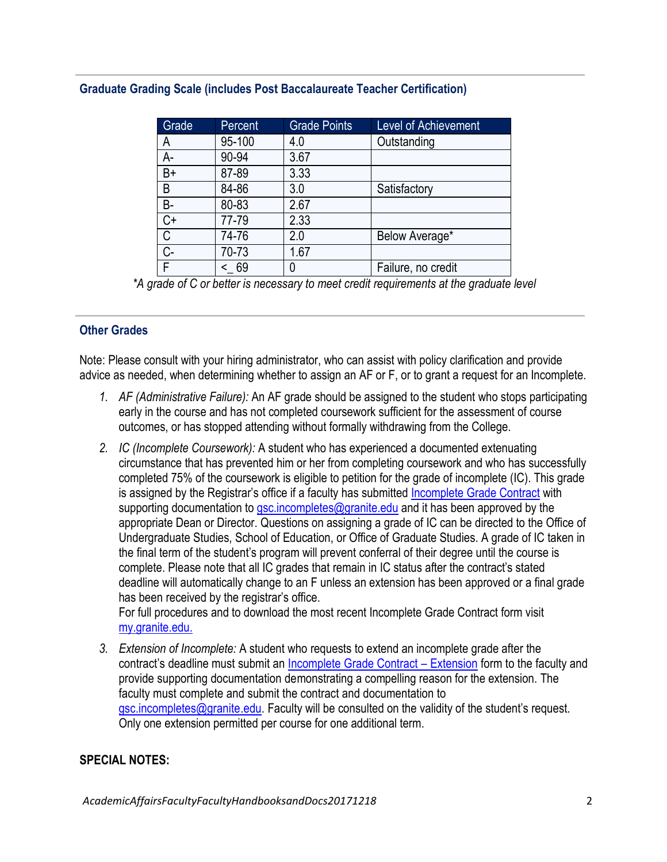| Grade     | Percent | <b>Grade Points</b> | <b>Level of Achievement</b> |
|-----------|---------|---------------------|-----------------------------|
| А         | 95-100  | 4.0                 | Outstanding                 |
| A-        | 90-94   | 3.67                |                             |
| $B+$      | 87-89   | 3.33                |                             |
| B         | 84-86   | 3.0                 | Satisfactory                |
| <b>B-</b> | 80-83   | 2.67                |                             |
| C+        | 77-79   | 2.33                |                             |
| С         | 74-76   | 2.0                 | Below Average*              |
| C-        | 70-73   | 1.67                |                             |
| F         | 69      |                     | Failure, no credit          |

# **Graduate Grading Scale (includes Post Baccalaureate Teacher Certification)**

*\*A grade of C or better is necessary to meet credit requirements at the graduate level*

## **Other Grades**

Note: Please consult with your hiring administrator, who can assist with policy clarification and provide advice as needed, when determining whether to assign an AF or F, or to grant a request for an Incomplete.

- *1. AF (Administrative Failure):* An AF grade should be assigned to the student who stops participating early in the course and has not completed coursework sufficient for the assessment of course outcomes, or has stopped attending without formally withdrawing from the College.
- *2. IC (Incomplete Coursework):* A student who has experienced a documented extenuating circumstance that has prevented him or her from completing coursework and who has successfully completed 75% of the coursework is eligible to petition for the grade of incomplete (IC). This grade is assigned by the Registrar's office if a faculty has submitted [Incomplete Grade Contract](http://my.granite.edu/sites/my.granite.edu/files/media/PDFs/incomplete_grade_contract.pdf) with supporting documentation to [gsc.incompletes@granite.edu](mailto:gsc.incompletes@granite.edu) and it has been approved by the appropriate Dean or Director. Questions on assigning a grade of IC can be directed to the Office of Undergraduate Studies, School of Education, or Office of Graduate Studies. A grade of IC taken in the final term of the student's program will prevent conferral of their degree until the course is complete. Please note that all IC grades that remain in IC status after the contract's stated deadline will automatically change to an F unless an extension has been approved or a final grade has been received by the registrar's office.

For full procedures and to download the most recent Incomplete Grade Contract form visit [my.granite.edu.](http://my.granite.edu/forms-faqs)

*3. Extension of Incomplete:* A student who requests to extend an incomplete grade after the contract's deadline must submit an [Incomplete Grade Contract](http://my.granite.edu/sites/my.granite.edu/files/media/PDFs/incomplete_grade_contract_extension.pdf) – Extension form to the faculty and provide supporting documentation demonstrating a compelling reason for the extension. The faculty must complete and submit the contract and documentation to [gsc.incompletes@granite.edu.](mailto:gsc.incompletes@granite.edu) Faculty will be consulted on the validity of the student's request. Only one extension permitted per course for one additional term.

# **SPECIAL NOTES:**